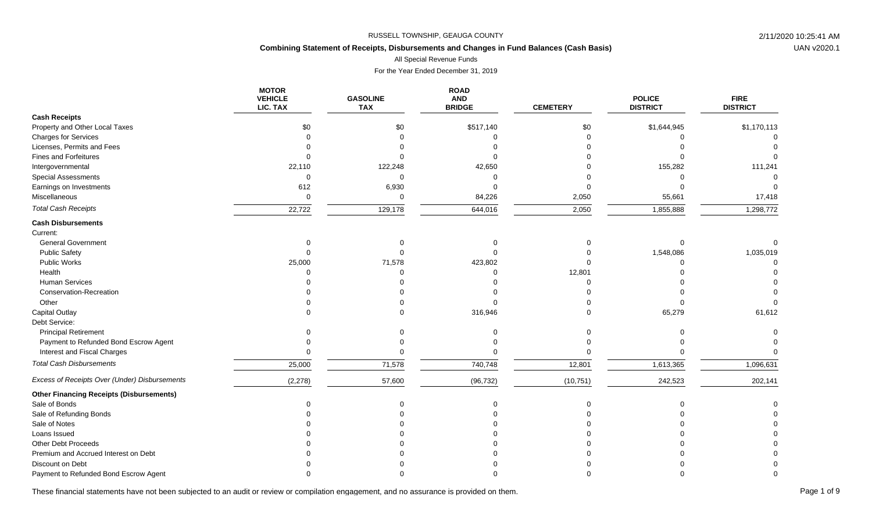# **Combining Statement of Receipts, Disbursements and Changes in Fund Balances (Cash Basis)**

All Special Revenue Funds

For the Year Ended December 31, 2019

|                                                 | <b>MOTOR</b><br><b>VEHICLE</b><br>LIC. TAX | <b>GASOLINE</b><br><b>TAX</b> | <b>ROAD</b><br><b>AND</b><br><b>BRIDGE</b> | <b>CEMETERY</b> | <b>POLICE</b><br><b>DISTRICT</b> | <b>FIRE</b><br><b>DISTRICT</b> |
|-------------------------------------------------|--------------------------------------------|-------------------------------|--------------------------------------------|-----------------|----------------------------------|--------------------------------|
| <b>Cash Receipts</b>                            |                                            |                               |                                            |                 |                                  |                                |
| Property and Other Local Taxes                  | \$0                                        | \$0                           | \$517,140                                  | \$0             | \$1,644,945                      | \$1,170,113                    |
| <b>Charges for Services</b>                     |                                            |                               | $\Omega$                                   |                 |                                  |                                |
| Licenses, Permits and Fees                      |                                            |                               |                                            |                 |                                  |                                |
| <b>Fines and Forfeitures</b>                    |                                            |                               |                                            |                 |                                  |                                |
| Intergovernmental                               | 22,110                                     | 122,248                       | 42,650                                     |                 | 155,282                          | 111,241                        |
| <b>Special Assessments</b>                      | $\Omega$                                   | $\Omega$                      | C                                          |                 |                                  |                                |
| Earnings on Investments                         | 612                                        | 6,930                         |                                            |                 |                                  |                                |
| Miscellaneous                                   | $\mathbf 0$                                | $\Omega$                      | 84,226                                     | 2,050           | 55,661                           | 17,418                         |
| <b>Total Cash Receipts</b>                      | 22,722                                     | 129,178                       | 644,016                                    | 2,050           | 1,855,888                        | 1,298,772                      |
| <b>Cash Disbursements</b><br>Current:           |                                            |                               |                                            |                 |                                  |                                |
| <b>General Government</b>                       | $\Omega$                                   | $\Omega$                      |                                            |                 |                                  |                                |
| <b>Public Safety</b>                            |                                            |                               |                                            |                 | 1,548,086                        | 1,035,019                      |
| <b>Public Works</b>                             | 25,000                                     | 71,578                        | 423,802                                    |                 |                                  |                                |
| Health                                          |                                            |                               |                                            | 12,801          |                                  |                                |
| Human Services                                  |                                            |                               |                                            |                 |                                  |                                |
| Conservation-Recreation                         |                                            |                               |                                            |                 |                                  |                                |
| Other                                           |                                            |                               |                                            |                 |                                  |                                |
| <b>Capital Outlay</b>                           |                                            |                               | 316,946                                    |                 | 65,279                           | 61,612                         |
| Debt Service:                                   |                                            |                               |                                            |                 |                                  |                                |
| <b>Principal Retirement</b>                     |                                            |                               |                                            |                 |                                  |                                |
| Payment to Refunded Bond Escrow Agent           |                                            |                               |                                            |                 |                                  |                                |
| Interest and Fiscal Charges                     |                                            |                               |                                            |                 |                                  |                                |
| <b>Total Cash Disbursements</b>                 | 25,000                                     | 71,578                        | 740,748                                    | 12,801          | 1,613,365                        | 1,096,631                      |
| Excess of Receipts Over (Under) Disbursements   | (2, 278)                                   | 57,600                        | (96, 732)                                  | (10, 751)       | 242,523                          | 202,141                        |
| <b>Other Financing Receipts (Disbursements)</b> |                                            |                               |                                            |                 |                                  |                                |
| Sale of Bonds                                   |                                            | $\Omega$                      |                                            |                 |                                  |                                |
| Sale of Refunding Bonds                         |                                            |                               |                                            |                 |                                  |                                |
| Sale of Notes                                   |                                            |                               |                                            |                 |                                  |                                |
| Loans Issued                                    |                                            |                               |                                            |                 |                                  |                                |
| <b>Other Debt Proceeds</b>                      |                                            |                               |                                            |                 |                                  |                                |
| Premium and Accrued Interest on Debt            |                                            |                               |                                            |                 |                                  |                                |
| Discount on Debt                                |                                            |                               |                                            |                 |                                  |                                |
| Payment to Refunded Bond Escrow Agent           |                                            |                               |                                            |                 |                                  |                                |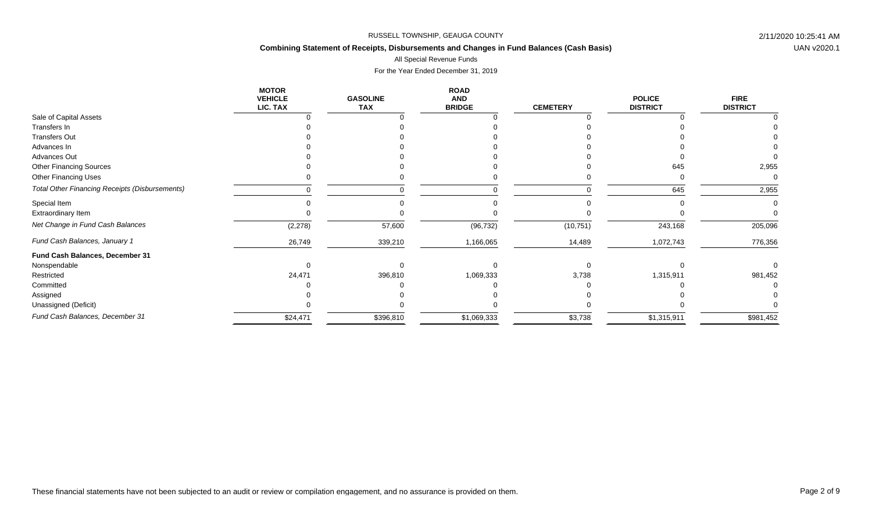# **Combining Statement of Receipts, Disbursements and Changes in Fund Balances (Cash Basis)**

All Special Revenue Funds

|                                                | <b>MOTOR</b><br><b>VEHICLE</b><br>LIC. TAX | <b>GASOLINE</b><br><b>TAX</b> | <b>ROAD</b><br><b>AND</b><br><b>BRIDGE</b> | <b>CEMETERY</b> | <b>POLICE</b><br><b>DISTRICT</b> | <b>FIRE</b><br><b>DISTRICT</b> |
|------------------------------------------------|--------------------------------------------|-------------------------------|--------------------------------------------|-----------------|----------------------------------|--------------------------------|
| Sale of Capital Assets                         |                                            |                               |                                            |                 |                                  |                                |
| Transfers In                                   |                                            |                               |                                            |                 |                                  |                                |
| <b>Transfers Out</b>                           |                                            |                               |                                            |                 |                                  |                                |
| Advances In                                    |                                            |                               |                                            |                 |                                  |                                |
| Advances Out                                   |                                            |                               |                                            |                 |                                  |                                |
| <b>Other Financing Sources</b>                 |                                            |                               |                                            |                 | 645                              | 2,955                          |
| Other Financing Uses                           |                                            |                               |                                            |                 |                                  | $\Omega$                       |
| Total Other Financing Receipts (Disbursements) |                                            |                               |                                            | $\Omega$        | 645                              | 2,955                          |
| Special Item                                   |                                            |                               |                                            |                 |                                  |                                |
| Extraordinary Item                             |                                            |                               |                                            |                 |                                  |                                |
| Net Change in Fund Cash Balances               | (2, 278)                                   | 57,600                        | (96, 732)                                  | (10, 751)       | 243,168                          | 205,096                        |
| Fund Cash Balances, January 1                  | 26,749                                     | 339,210                       | 1,166,065                                  | 14,489          | 1,072,743                        | 776,356                        |
| Fund Cash Balances, December 31                |                                            |                               |                                            |                 |                                  |                                |
| Nonspendable                                   |                                            |                               |                                            |                 |                                  |                                |
| Restricted                                     | 24,471                                     | 396,810                       | 1,069,333                                  | 3,738           | 1,315,911                        | 981,452                        |
| Committed                                      |                                            |                               |                                            |                 |                                  |                                |
| Assigned                                       |                                            |                               |                                            |                 |                                  |                                |
| Unassigned (Deficit)                           |                                            |                               |                                            |                 |                                  |                                |
| Fund Cash Balances, December 31                | \$24,471                                   | \$396,810                     | \$1,069,333                                | \$3,738         | \$1,315,911                      | \$981,452                      |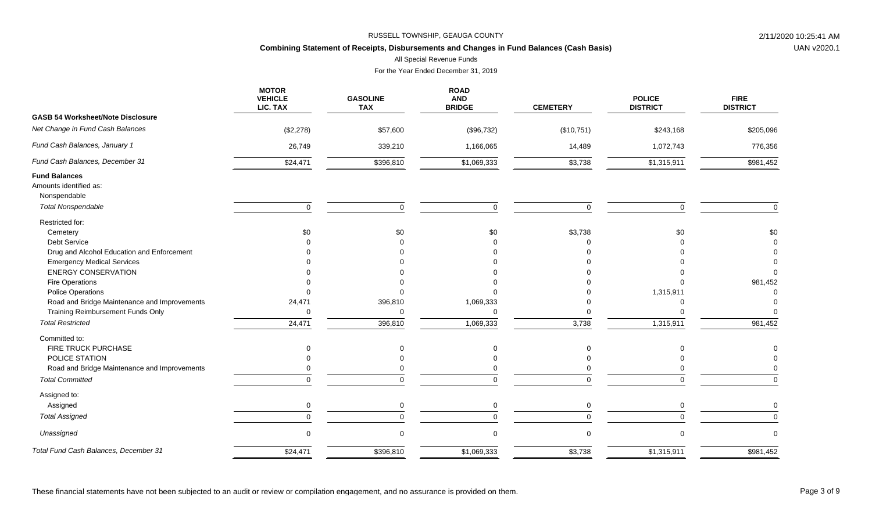# **Combining Statement of Receipts, Disbursements and Changes in Fund Balances (Cash Basis)**

All Special Revenue Funds

For the Year Ended December 31, 2019

|                                                                | <b>MOTOR</b><br><b>VEHICLE</b><br>LIC. TAX | <b>GASOLINE</b><br><b>TAX</b> | <b>ROAD</b><br><b>AND</b><br><b>BRIDGE</b> | <b>CEMETERY</b> | <b>POLICE</b><br><b>DISTRICT</b> | <b>FIRE</b><br><b>DISTRICT</b> |
|----------------------------------------------------------------|--------------------------------------------|-------------------------------|--------------------------------------------|-----------------|----------------------------------|--------------------------------|
| <b>GASB 54 Worksheet/Note Disclosure</b>                       |                                            |                               |                                            |                 |                                  |                                |
| Net Change in Fund Cash Balances                               | (\$2,278)                                  | \$57,600                      | (\$96,732)                                 | (\$10,751)      | \$243,168                        | \$205,096                      |
| Fund Cash Balances, January 1                                  | 26,749                                     | 339,210                       | 1,166,065                                  | 14,489          | 1,072,743                        | 776,356                        |
| Fund Cash Balances, December 31                                | \$24,471                                   | \$396,810                     | \$1,069,333                                | \$3,738         | \$1,315,911                      | \$981,452                      |
| <b>Fund Balances</b><br>Amounts identified as:<br>Nonspendable |                                            |                               |                                            |                 |                                  |                                |
| <b>Total Nonspendable</b>                                      | $\mathbf 0$                                | $\mathbf 0$                   | $\mathbf 0$                                | $\mathbf 0$     | $\mathbf 0$                      | $\mathbf 0$                    |
| Restricted for:                                                |                                            |                               |                                            |                 |                                  |                                |
| Cemetery                                                       | \$0                                        | \$0                           | \$0                                        | \$3,738         | \$0                              | \$0                            |
| Debt Service                                                   |                                            |                               |                                            |                 |                                  |                                |
| Drug and Alcohol Education and Enforcement                     |                                            |                               |                                            |                 |                                  |                                |
| <b>Emergency Medical Services</b>                              |                                            |                               |                                            |                 |                                  |                                |
| <b>ENERGY CONSERVATION</b>                                     |                                            |                               |                                            |                 |                                  | $\Omega$                       |
| Fire Operations                                                |                                            |                               |                                            |                 |                                  | 981,452                        |
| <b>Police Operations</b>                                       |                                            |                               |                                            |                 | 1,315,911                        |                                |
| Road and Bridge Maintenance and Improvements                   | 24,471                                     | 396,810                       | 1,069,333                                  |                 | 0                                |                                |
| Training Reimbursement Funds Only                              | $\Omega$                                   | $\Omega$                      | $\Omega$                                   |                 |                                  |                                |
| <b>Total Restricted</b>                                        | 24,471                                     | 396,810                       | 1,069,333                                  | 3,738           | 1,315,911                        | 981,452                        |
| Committed to:                                                  |                                            |                               |                                            |                 |                                  |                                |
| FIRE TRUCK PURCHASE                                            | O                                          | $\mathbf 0$                   |                                            | $\Omega$        | $\Omega$                         |                                |
| POLICE STATION                                                 |                                            |                               |                                            |                 |                                  |                                |
| Road and Bridge Maintenance and Improvements                   |                                            |                               |                                            |                 |                                  |                                |
| <b>Total Committed</b>                                         |                                            | $\Omega$                      | $\Omega$                                   |                 | ∩                                | $\Omega$                       |
| Assigned to:                                                   |                                            |                               |                                            |                 |                                  |                                |
| Assigned                                                       | $\Omega$                                   | $\mathbf 0$                   | 0                                          | $\Omega$        | $\Omega$                         | $\Omega$                       |
| <b>Total Assigned</b>                                          | $\Omega$                                   | $\Omega$                      | $\Omega$                                   | $\Omega$        | $\Omega$                         | $\Omega$                       |
| Unassigned                                                     | $\Omega$                                   | $\Omega$                      | $\Omega$                                   | $\mathbf 0$     | $\Omega$                         | $\Omega$                       |
| Total Fund Cash Balances, December 31                          | \$24,471                                   | \$396,810                     | \$1,069,333                                | \$3,738         | \$1,315,911                      | \$981,452                      |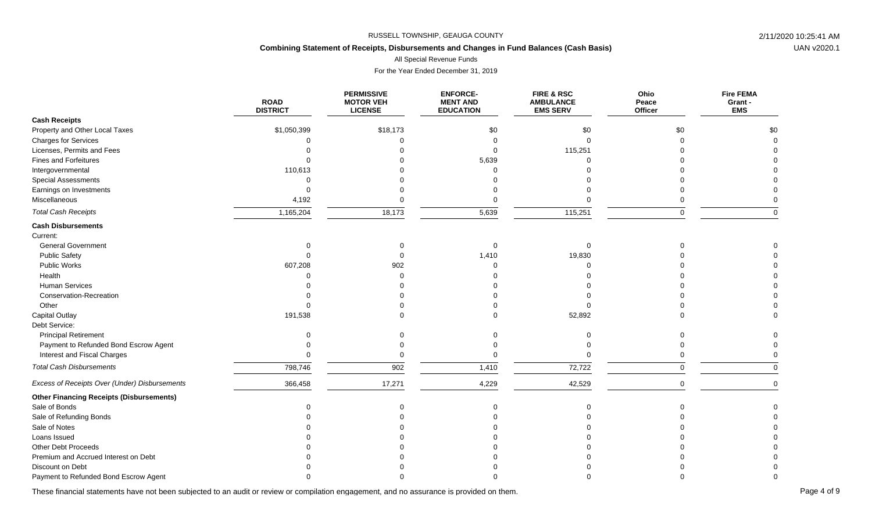# **Combining Statement of Receipts, Disbursements and Changes in Fund Balances (Cash Basis)**

All Special Revenue Funds

For the Year Ended December 31, 2019

|                                                 | <b>ROAD</b><br><b>DISTRICT</b> | <b>PERMISSIVE</b><br><b>MOTOR VEH</b><br><b>LICENSE</b> | <b>ENFORCE-</b><br><b>MENT AND</b><br><b>EDUCATION</b> | FIRE & RSC<br><b>AMBULANCE</b><br><b>EMS SERV</b> | Ohio<br>Peace<br>Officer | <b>Fire FEMA</b><br>Grant -<br><b>EMS</b> |
|-------------------------------------------------|--------------------------------|---------------------------------------------------------|--------------------------------------------------------|---------------------------------------------------|--------------------------|-------------------------------------------|
| <b>Cash Receipts</b>                            |                                |                                                         |                                                        |                                                   |                          |                                           |
| Property and Other Local Taxes                  | \$1,050,399                    | \$18,173                                                | \$0                                                    | \$0                                               | \$0                      | \$0                                       |
| <b>Charges for Services</b>                     |                                |                                                         | $\Omega$                                               | $\Omega$                                          | $\Omega$                 | $\Omega$                                  |
| Licenses, Permits and Fees                      |                                |                                                         |                                                        | 115,251                                           |                          |                                           |
| <b>Fines and Forfeitures</b>                    |                                |                                                         | 5,639                                                  | $\Omega$                                          |                          |                                           |
| Intergovernmental                               | 110,613                        |                                                         |                                                        |                                                   |                          |                                           |
| <b>Special Assessments</b>                      | ∩                              |                                                         |                                                        |                                                   |                          |                                           |
| Earnings on Investments                         | $\Omega$                       |                                                         |                                                        |                                                   |                          |                                           |
| Miscellaneous                                   | 4,192                          |                                                         | $\Omega$                                               |                                                   | 0                        |                                           |
| <b>Total Cash Receipts</b>                      | 1,165,204                      | 18,173                                                  | 5,639                                                  | 115,251                                           | $\Omega$                 | $\Omega$                                  |
| <b>Cash Disbursements</b>                       |                                |                                                         |                                                        |                                                   |                          |                                           |
| Current:                                        |                                |                                                         |                                                        |                                                   |                          |                                           |
| <b>General Government</b>                       | $\Omega$                       | $\Omega$                                                | $\Omega$                                               | $\mathbf 0$                                       |                          |                                           |
| <b>Public Safety</b>                            |                                |                                                         | 1,410                                                  | 19,830                                            |                          |                                           |
| Public Works                                    | 607,208                        | 902                                                     | $\Omega$                                               | ∩                                                 |                          |                                           |
| Health                                          |                                |                                                         |                                                        |                                                   |                          |                                           |
| <b>Human Services</b>                           |                                |                                                         |                                                        |                                                   |                          |                                           |
| Conservation-Recreation                         |                                |                                                         |                                                        |                                                   |                          |                                           |
| Other                                           |                                |                                                         |                                                        |                                                   |                          |                                           |
| <b>Capital Outlay</b>                           | 191,538                        |                                                         |                                                        | 52,892                                            |                          | $\Omega$                                  |
| Debt Service:                                   |                                |                                                         |                                                        |                                                   |                          |                                           |
| <b>Principal Retirement</b>                     |                                |                                                         |                                                        | $\Omega$                                          |                          |                                           |
| Payment to Refunded Bond Escrow Agent           |                                |                                                         |                                                        |                                                   |                          |                                           |
| Interest and Fiscal Charges                     |                                |                                                         | $\Omega$                                               | $\Omega$                                          | $\Omega$                 |                                           |
| <b>Total Cash Disbursements</b>                 | 798,746                        | 902                                                     | 1,410                                                  | 72,722                                            | $\mathbf 0$              | $\Omega$                                  |
| Excess of Receipts Over (Under) Disbursements   | 366,458                        | 17,271                                                  | 4,229                                                  | 42,529                                            | $\pmb{0}$                | $\mathbf 0$                               |
| <b>Other Financing Receipts (Disbursements)</b> |                                |                                                         |                                                        |                                                   |                          |                                           |
| Sale of Bonds                                   | $\Omega$                       | $\Omega$                                                | $\Omega$                                               | $\Omega$                                          | $\Omega$                 | $\Omega$                                  |
| Sale of Refunding Bonds                         |                                |                                                         |                                                        |                                                   |                          |                                           |
| Sale of Notes                                   |                                |                                                         |                                                        |                                                   |                          |                                           |
| Loans Issued                                    |                                |                                                         |                                                        |                                                   |                          |                                           |
| Other Debt Proceeds                             |                                |                                                         |                                                        |                                                   |                          |                                           |
| Premium and Accrued Interest on Debt            |                                |                                                         |                                                        |                                                   |                          |                                           |
| Discount on Debt                                |                                |                                                         |                                                        |                                                   |                          |                                           |
| Payment to Refunded Bond Escrow Agent           |                                |                                                         |                                                        |                                                   |                          |                                           |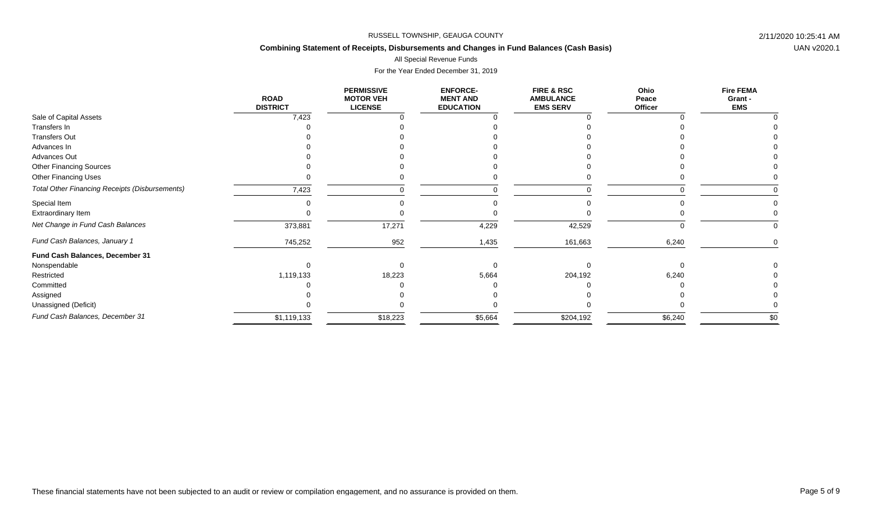# **Combining Statement of Receipts, Disbursements and Changes in Fund Balances (Cash Basis)**

### All Special Revenue Funds

|                                                       | <b>ROAD</b><br><b>DISTRICT</b> | <b>PERMISSIVE</b><br><b>MOTOR VEH</b><br><b>LICENSE</b> | <b>ENFORCE-</b><br><b>MENT AND</b><br><b>EDUCATION</b> | <b>FIRE &amp; RSC</b><br><b>AMBULANCE</b><br><b>EMS SERV</b> | Ohio<br>Peace<br>Officer | <b>Fire FEMA</b><br>Grant -<br><b>EMS</b> |
|-------------------------------------------------------|--------------------------------|---------------------------------------------------------|--------------------------------------------------------|--------------------------------------------------------------|--------------------------|-------------------------------------------|
| Sale of Capital Assets                                | 7,423                          |                                                         |                                                        |                                                              |                          |                                           |
| Transfers In                                          |                                |                                                         |                                                        |                                                              |                          |                                           |
| <b>Transfers Out</b>                                  |                                |                                                         |                                                        |                                                              |                          |                                           |
| Advances In                                           |                                |                                                         |                                                        |                                                              |                          |                                           |
| Advances Out                                          |                                |                                                         |                                                        |                                                              |                          |                                           |
| <b>Other Financing Sources</b>                        |                                |                                                         |                                                        |                                                              |                          |                                           |
| <b>Other Financing Uses</b>                           |                                |                                                         |                                                        |                                                              |                          |                                           |
| <b>Total Other Financing Receipts (Disbursements)</b> | 7,423                          |                                                         |                                                        |                                                              |                          |                                           |
| Special Item                                          |                                |                                                         |                                                        |                                                              |                          |                                           |
| Extraordinary Item                                    |                                |                                                         |                                                        |                                                              |                          |                                           |
| Net Change in Fund Cash Balances                      | 373,881                        | 17,271                                                  | 4,229                                                  | 42,529                                                       |                          | 0                                         |
| Fund Cash Balances, January 1                         | 745,252                        | 952                                                     | 1,435                                                  | 161,663                                                      | 6,240                    |                                           |
| Fund Cash Balances, December 31                       |                                |                                                         |                                                        |                                                              |                          |                                           |
| Nonspendable                                          |                                |                                                         |                                                        |                                                              |                          |                                           |
| Restricted                                            | 1,119,133                      | 18,223                                                  | 5,664                                                  | 204,192                                                      | 6,240                    |                                           |
| Committed                                             |                                |                                                         |                                                        |                                                              |                          |                                           |
| Assigned                                              |                                |                                                         |                                                        |                                                              |                          |                                           |
| Unassigned (Deficit)                                  |                                |                                                         |                                                        |                                                              |                          |                                           |
| Fund Cash Balances, December 31                       | \$1,119,133                    | \$18,223                                                | \$5,664                                                | \$204,192                                                    | \$6,240                  | \$0                                       |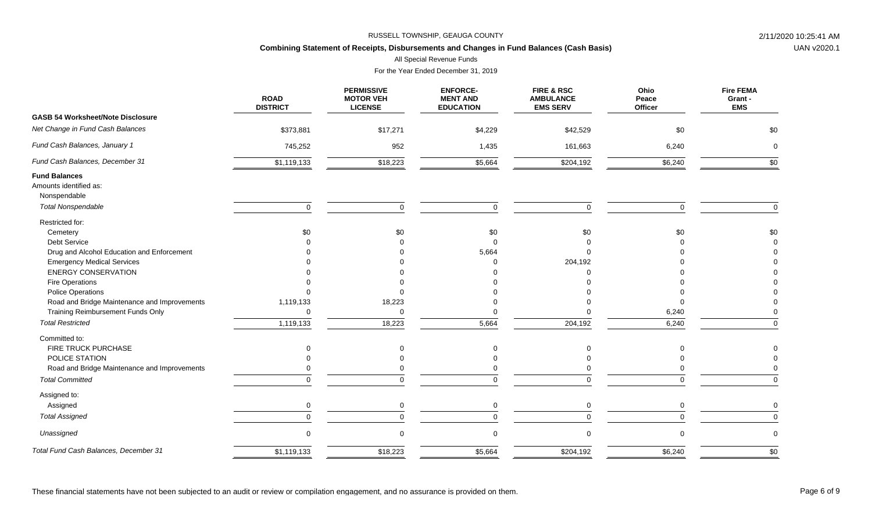# **Combining Statement of Receipts, Disbursements and Changes in Fund Balances (Cash Basis)**

All Special Revenue Funds

|                                                | <b>ROAD</b><br><b>DISTRICT</b> | <b>PERMISSIVE</b><br><b>MOTOR VEH</b><br><b>LICENSE</b> | <b>ENFORCE-</b><br><b>MENT AND</b><br><b>EDUCATION</b> | FIRE & RSC<br><b>AMBULANCE</b><br><b>EMS SERV</b> | Ohio<br>Peace<br>Officer | <b>Fire FEMA</b><br>Grant -<br><b>EMS</b> |
|------------------------------------------------|--------------------------------|---------------------------------------------------------|--------------------------------------------------------|---------------------------------------------------|--------------------------|-------------------------------------------|
| <b>GASB 54 Worksheet/Note Disclosure</b>       |                                |                                                         |                                                        |                                                   |                          |                                           |
| Net Change in Fund Cash Balances               | \$373,881                      | \$17,271                                                | \$4,229                                                | \$42,529                                          | \$0                      | \$0                                       |
| Fund Cash Balances, January 1                  | 745,252                        | 952                                                     | 1,435                                                  | 161,663                                           | 6,240                    | $\Omega$                                  |
| Fund Cash Balances, December 31                | \$1,119,133                    | \$18,223                                                | \$5,664                                                | \$204,192                                         | \$6,240                  | \$0                                       |
| <b>Fund Balances</b><br>Amounts identified as: |                                |                                                         |                                                        |                                                   |                          |                                           |
| Nonspendable                                   |                                |                                                         |                                                        |                                                   |                          |                                           |
| <b>Total Nonspendable</b>                      | $\mathbf 0$                    | $\Omega$                                                | $\Omega$                                               | $\mathbf 0$                                       | $\Omega$                 | $\Omega$                                  |
| Restricted for:                                |                                |                                                         |                                                        |                                                   |                          |                                           |
| Cemetery                                       | \$0                            | \$0                                                     | \$0                                                    | \$0                                               | \$0                      | \$0                                       |
| Debt Service                                   |                                |                                                         |                                                        |                                                   |                          | $\Omega$                                  |
| Drug and Alcohol Education and Enforcement     |                                |                                                         | 5,664                                                  |                                                   |                          |                                           |
| <b>Emergency Medical Services</b>              |                                |                                                         |                                                        | 204,192                                           |                          |                                           |
| <b>ENERGY CONSERVATION</b>                     |                                |                                                         |                                                        |                                                   |                          |                                           |
| Fire Operations                                |                                |                                                         |                                                        |                                                   |                          |                                           |
| <b>Police Operations</b>                       |                                |                                                         |                                                        |                                                   |                          |                                           |
| Road and Bridge Maintenance and Improvements   | 1,119,133                      | 18,223                                                  |                                                        |                                                   |                          |                                           |
| Training Reimbursement Funds Only              |                                | $\Omega$                                                |                                                        |                                                   | 6,240                    |                                           |
| <b>Total Restricted</b>                        | 1,119,133                      | 18,223                                                  | 5,664                                                  | 204,192                                           | 6,240                    | $\mathbf 0$                               |
| Committed to:                                  |                                |                                                         |                                                        |                                                   |                          |                                           |
| FIRE TRUCK PURCHASE                            |                                | $\mathbf 0$                                             |                                                        | $\Omega$                                          |                          |                                           |
| POLICE STATION                                 |                                |                                                         |                                                        |                                                   |                          |                                           |
| Road and Bridge Maintenance and Improvements   |                                |                                                         |                                                        |                                                   |                          |                                           |
| <b>Total Committed</b>                         |                                | $\Omega$                                                | ∩                                                      | $\Omega$                                          | ∩                        | $\Omega$                                  |
| Assigned to:                                   |                                |                                                         |                                                        |                                                   |                          |                                           |
| Assigned                                       | 0                              | $\mathbf 0$                                             | $\mathbf 0$                                            | $\mathbf 0$                                       | $\Omega$                 | $\mathbf 0$                               |
| <b>Total Assigned</b>                          |                                | $\Omega$                                                |                                                        |                                                   | ∩                        | $\Omega$                                  |
| Unassigned                                     | $\Omega$                       | $\Omega$                                                | $\Omega$                                               | $\mathbf 0$                                       | $\Omega$                 | $\Omega$                                  |
| Total Fund Cash Balances, December 31          | \$1,119,133                    | \$18,223                                                | \$5,664                                                | \$204,192                                         | \$6,240                  | \$0                                       |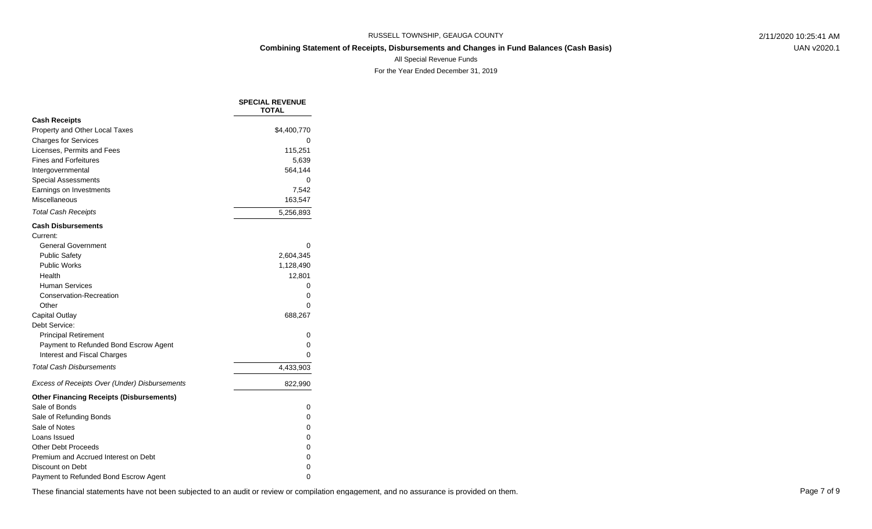UAN v2020.1

All Special Revenue Funds

For the Year Ended December 31, 2019

|                                                 | <b>SPECIAL REVENUE</b><br><b>TOTAL</b> |
|-------------------------------------------------|----------------------------------------|
| <b>Cash Receipts</b>                            |                                        |
| Property and Other Local Taxes                  | \$4,400,770                            |
| <b>Charges for Services</b>                     | 0                                      |
| Licenses, Permits and Fees                      | 115,251                                |
| <b>Fines and Forfeitures</b>                    | 5,639                                  |
| Intergovernmental                               | 564,144                                |
| <b>Special Assessments</b>                      | 0                                      |
| Earnings on Investments                         | 7,542                                  |
| Miscellaneous                                   | 163,547                                |
| <b>Total Cash Receipts</b>                      | 5,256,893                              |
| <b>Cash Disbursements</b>                       |                                        |
| Current:                                        |                                        |
| <b>General Government</b>                       | 0                                      |
| <b>Public Safety</b>                            | 2,604,345                              |
| <b>Public Works</b>                             | 1,128,490                              |
| Health                                          | 12,801                                 |
| <b>Human Services</b>                           | 0                                      |
| Conservation-Recreation                         | 0                                      |
| Other                                           | 0                                      |
| Capital Outlay                                  | 688,267                                |
| Debt Service:                                   |                                        |
| <b>Principal Retirement</b>                     | 0                                      |
| Payment to Refunded Bond Escrow Agent           | 0                                      |
| Interest and Fiscal Charges                     | 0                                      |
| <b>Total Cash Disbursements</b>                 | 4,433,903                              |
| Excess of Receipts Over (Under) Disbursements   | 822,990                                |
| <b>Other Financing Receipts (Disbursements)</b> |                                        |
| Sale of Bonds                                   | 0                                      |
| Sale of Refunding Bonds                         | 0                                      |
| Sale of Notes                                   | 0                                      |
| Loans Issued                                    | 0                                      |
| <b>Other Debt Proceeds</b>                      | 0                                      |
| Premium and Accrued Interest on Debt            | 0                                      |
| Discount on Debt                                | 0                                      |
| Payment to Refunded Bond Escrow Agent           | 0                                      |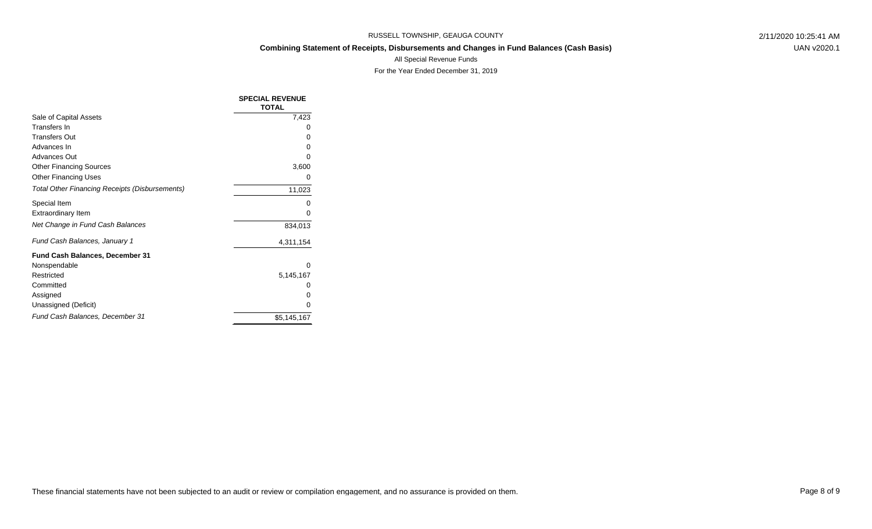UAN v2020.1

All Special Revenue Funds

|                                                       | <b>SPECIAL REVENUE</b><br><b>TOTAL</b> |
|-------------------------------------------------------|----------------------------------------|
| Sale of Capital Assets                                | 7,423                                  |
| Transfers In                                          |                                        |
| <b>Transfers Out</b>                                  | 0                                      |
| Advances In                                           |                                        |
| Advances Out                                          |                                        |
| <b>Other Financing Sources</b>                        | 3,600                                  |
| <b>Other Financing Uses</b>                           | 0                                      |
| <b>Total Other Financing Receipts (Disbursements)</b> | 11,023                                 |
| Special Item                                          |                                        |
| <b>Extraordinary Item</b>                             | O                                      |
| Net Change in Fund Cash Balances                      | 834,013                                |
| Fund Cash Balances, January 1                         | 4,311,154                              |
| <b>Fund Cash Balances, December 31</b>                |                                        |
| Nonspendable                                          | Ω                                      |
| Restricted                                            | 5,145,167                              |
| Committed                                             |                                        |
| Assigned                                              | O                                      |
| Unassigned (Deficit)                                  | O                                      |
| Fund Cash Balances, December 31                       | \$5,145,167                            |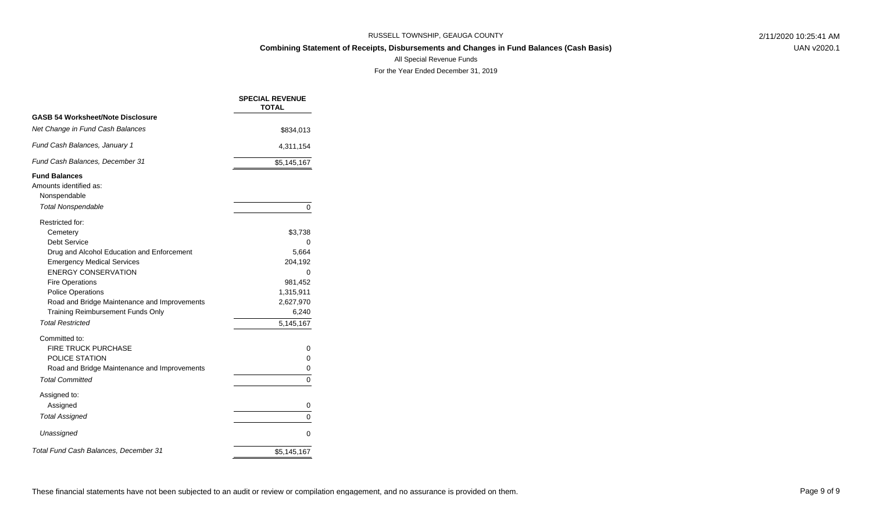UAN v2020.1

All Special Revenue Funds

|                                                                | <b>SPECIAL REVENUE</b><br><b>TOTAL</b> |
|----------------------------------------------------------------|----------------------------------------|
| <b>GASB 54 Worksheet/Note Disclosure</b>                       |                                        |
| Net Change in Fund Cash Balances                               | \$834,013                              |
| Fund Cash Balances, January 1                                  | 4,311,154                              |
| Fund Cash Balances, December 31                                | \$5,145,167                            |
| <b>Fund Balances</b><br>Amounts identified as:<br>Nonspendable |                                        |
| <b>Total Nonspendable</b>                                      | 0                                      |
| Restricted for:<br>Cemetery                                    | \$3,738                                |
| Debt Service                                                   | 0                                      |
| Drug and Alcohol Education and Enforcement                     | 5,664                                  |
| <b>Emergency Medical Services</b>                              | 204,192                                |
| <b>ENERGY CONSERVATION</b>                                     | 0                                      |
| <b>Fire Operations</b><br><b>Police Operations</b>             | 981,452<br>1,315,911                   |
| Road and Bridge Maintenance and Improvements                   | 2,627,970                              |
| <b>Training Reimbursement Funds Only</b>                       | 6,240                                  |
| <b>Total Restricted</b>                                        | 5,145,167                              |
| Committed to:                                                  |                                        |
| <b>FIRE TRUCK PURCHASE</b>                                     | 0                                      |
| POLICE STATION                                                 | 0                                      |
| Road and Bridge Maintenance and Improvements                   | 0                                      |
| <b>Total Committed</b>                                         | 0                                      |
| Assigned to:                                                   |                                        |
| Assigned                                                       | 0                                      |
| <b>Total Assigned</b>                                          | 0                                      |
| Unassigned                                                     | 0                                      |
| Total Fund Cash Balances, December 31                          | \$5,145,167                            |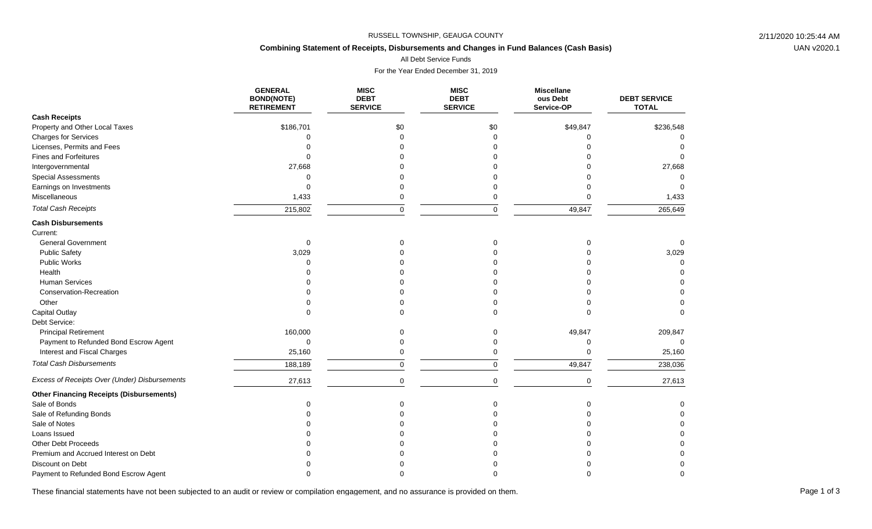# **Combining Statement of Receipts, Disbursements and Changes in Fund Balances (Cash Basis)**

All Debt Service Funds

For the Year Ended December 31, 2019

|                                                 | <b>GENERAL</b><br><b>BOND(NOTE)</b><br><b>RETIREMENT</b> | <b>MISC</b><br><b>DEBT</b><br><b>SERVICE</b> | <b>MISC</b><br><b>DEBT</b><br><b>SERVICE</b> | <b>Miscellane</b><br>ous Debt<br>Service-OP | <b>DEBT SERVICE</b><br><b>TOTAL</b> |
|-------------------------------------------------|----------------------------------------------------------|----------------------------------------------|----------------------------------------------|---------------------------------------------|-------------------------------------|
| <b>Cash Receipts</b>                            |                                                          |                                              |                                              |                                             |                                     |
| Property and Other Local Taxes                  | \$186,701                                                | \$0                                          | \$0                                          | \$49,847                                    | \$236,548                           |
| <b>Charges for Services</b>                     | $\Omega$                                                 | $\Omega$                                     | $\Omega$                                     | $\Omega$                                    |                                     |
| Licenses, Permits and Fees                      |                                                          |                                              |                                              |                                             |                                     |
| <b>Fines and Forfeitures</b>                    |                                                          |                                              |                                              |                                             |                                     |
| Intergovernmental                               | 27,668                                                   |                                              |                                              |                                             | 27,668                              |
| <b>Special Assessments</b>                      |                                                          |                                              |                                              |                                             |                                     |
| Earnings on Investments                         | $\Omega$                                                 |                                              |                                              |                                             |                                     |
| Miscellaneous                                   | 1,433                                                    | 0                                            | 0                                            |                                             | 1,433                               |
| <b>Total Cash Receipts</b>                      | 215,802                                                  | $\mathbf 0$                                  | $\Omega$                                     | 49,847                                      | 265,649                             |
| <b>Cash Disbursements</b>                       |                                                          |                                              |                                              |                                             |                                     |
| Current:                                        |                                                          |                                              |                                              |                                             |                                     |
| <b>General Government</b>                       | $\Omega$                                                 |                                              |                                              |                                             | $\Omega$                            |
| <b>Public Safety</b>                            | 3,029                                                    |                                              |                                              |                                             | 3,029                               |
| Public Works                                    |                                                          |                                              |                                              |                                             |                                     |
| Health                                          |                                                          |                                              |                                              |                                             |                                     |
| <b>Human Services</b>                           |                                                          |                                              |                                              |                                             |                                     |
| Conservation-Recreation                         |                                                          |                                              |                                              |                                             |                                     |
| Other                                           |                                                          |                                              |                                              |                                             |                                     |
| Capital Outlay                                  |                                                          |                                              |                                              |                                             |                                     |
| Debt Service:                                   |                                                          |                                              |                                              |                                             |                                     |
| <b>Principal Retirement</b>                     | 160,000                                                  |                                              | $\Omega$                                     | 49,847                                      | 209,847                             |
| Payment to Refunded Bond Escrow Agent           | $\mathbf 0$                                              |                                              |                                              | $\Omega$                                    | $\Omega$                            |
| Interest and Fiscal Charges                     | 25,160                                                   | $\Omega$                                     |                                              | $\Omega$                                    | 25,160                              |
| <b>Total Cash Disbursements</b>                 | 188,189                                                  | $\mathbf 0$                                  | $\Omega$                                     | 49,847                                      | 238,036                             |
| Excess of Receipts Over (Under) Disbursements   | 27,613                                                   | $\mathbf 0$                                  | $\Omega$                                     | $\mathbf 0$                                 | 27,613                              |
| <b>Other Financing Receipts (Disbursements)</b> |                                                          |                                              |                                              |                                             |                                     |
| Sale of Bonds                                   | ∩                                                        | U                                            |                                              | $\Omega$                                    |                                     |
| Sale of Refunding Bonds                         |                                                          |                                              |                                              |                                             | 0                                   |
| Sale of Notes                                   |                                                          |                                              |                                              |                                             | $\Omega$                            |
| Loans Issued                                    |                                                          |                                              |                                              |                                             |                                     |
| Other Debt Proceeds                             |                                                          |                                              |                                              |                                             |                                     |
| Premium and Accrued Interest on Debt            |                                                          |                                              |                                              |                                             |                                     |
| Discount on Debt                                |                                                          |                                              |                                              |                                             |                                     |
| Payment to Refunded Bond Escrow Agent           |                                                          |                                              |                                              |                                             |                                     |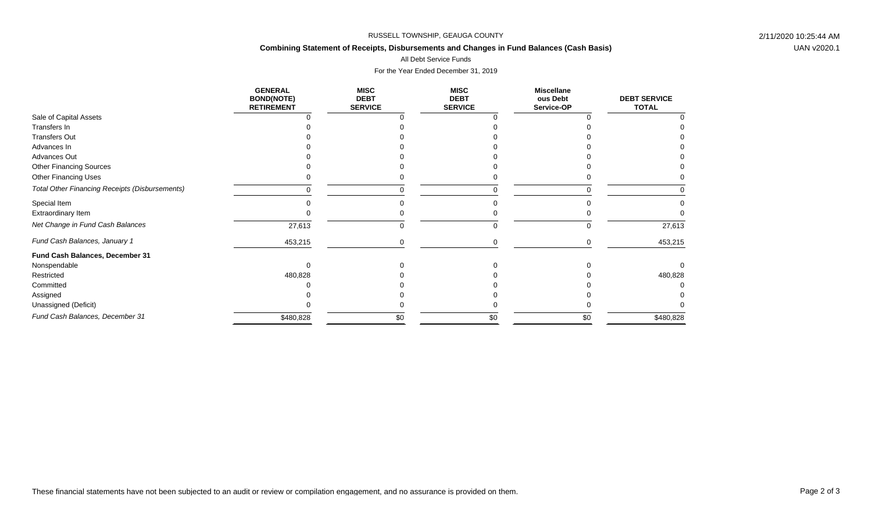# **Combining Statement of Receipts, Disbursements and Changes in Fund Balances (Cash Basis)**

All Debt Service Funds

|                                                | <b>GENERAL</b><br><b>BOND(NOTE)</b><br><b>RETIREMENT</b> | <b>MISC</b><br><b>DEBT</b><br><b>SERVICE</b> | <b>MISC</b><br><b>DEBT</b><br><b>SERVICE</b> | <b>Miscellane</b><br>ous Debt<br>Service-OP | <b>DEBT SERVICE</b><br><b>TOTAL</b> |
|------------------------------------------------|----------------------------------------------------------|----------------------------------------------|----------------------------------------------|---------------------------------------------|-------------------------------------|
| Sale of Capital Assets                         |                                                          |                                              |                                              |                                             |                                     |
| Transfers In                                   |                                                          |                                              |                                              |                                             |                                     |
| <b>Transfers Out</b>                           |                                                          |                                              |                                              |                                             |                                     |
| Advances In                                    |                                                          |                                              |                                              |                                             |                                     |
| Advances Out                                   |                                                          |                                              |                                              |                                             |                                     |
| <b>Other Financing Sources</b>                 |                                                          |                                              |                                              |                                             |                                     |
| <b>Other Financing Uses</b>                    |                                                          |                                              |                                              |                                             |                                     |
| Total Other Financing Receipts (Disbursements) |                                                          | O                                            |                                              |                                             |                                     |
| Special Item                                   |                                                          |                                              |                                              |                                             |                                     |
| Extraordinary Item                             |                                                          |                                              |                                              |                                             |                                     |
| Net Change in Fund Cash Balances               | 27,613                                                   | 0                                            |                                              | 0                                           | 27,613                              |
| Fund Cash Balances, January 1                  | 453,215                                                  |                                              |                                              |                                             | 453,215                             |
| Fund Cash Balances, December 31                |                                                          |                                              |                                              |                                             |                                     |
| Nonspendable                                   |                                                          |                                              |                                              |                                             |                                     |
| Restricted                                     | 480,828                                                  |                                              |                                              |                                             | 480,828                             |
| Committed                                      |                                                          |                                              |                                              |                                             |                                     |
| Assigned                                       |                                                          |                                              |                                              |                                             |                                     |
| Unassigned (Deficit)                           |                                                          |                                              |                                              |                                             |                                     |
| Fund Cash Balances, December 31                | \$480,828                                                | \$0                                          | \$0                                          | \$0                                         | \$480,828                           |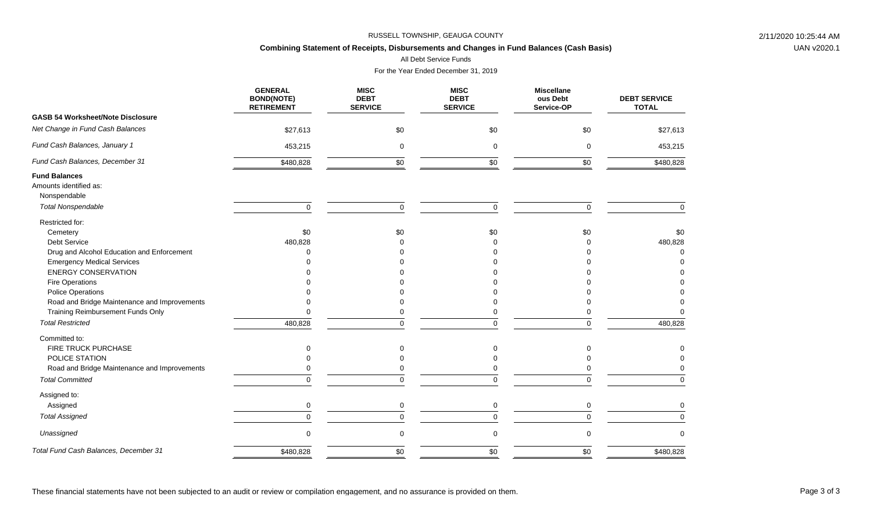# **Combining Statement of Receipts, Disbursements and Changes in Fund Balances (Cash Basis)**

All Debt Service Funds

|                                                | <b>GENERAL</b><br><b>BOND(NOTE)</b><br><b>RETIREMENT</b> | <b>MISC</b><br><b>DEBT</b><br><b>SERVICE</b> | <b>MISC</b><br><b>DEBT</b><br><b>SERVICE</b> | <b>Miscellane</b><br>ous Debt<br>Service-OP | <b>DEBT SERVICE</b><br><b>TOTAL</b> |
|------------------------------------------------|----------------------------------------------------------|----------------------------------------------|----------------------------------------------|---------------------------------------------|-------------------------------------|
| <b>GASB 54 Worksheet/Note Disclosure</b>       |                                                          |                                              |                                              |                                             |                                     |
| Net Change in Fund Cash Balances               | \$27,613                                                 | \$0                                          | \$0                                          | \$0                                         | \$27,613                            |
| Fund Cash Balances, January 1                  | 453,215                                                  | 0                                            | $\mathbf 0$                                  | 0                                           | 453,215                             |
| Fund Cash Balances, December 31                | \$480,828                                                | \$0                                          | \$0                                          | \$0                                         | \$480,828                           |
| <b>Fund Balances</b><br>Amounts identified as: |                                                          |                                              |                                              |                                             |                                     |
| Nonspendable<br><b>Total Nonspendable</b>      | $\mathbf 0$                                              | $\mathbf 0$                                  | $\Omega$                                     | $\mathbf 0$                                 | $\Omega$                            |
| Restricted for:                                |                                                          |                                              |                                              |                                             |                                     |
| Cemetery                                       | \$0                                                      | \$0                                          | \$0                                          | \$0                                         | \$0                                 |
| <b>Debt Service</b>                            | 480,828                                                  | $\Omega$                                     | $\Omega$                                     | $\Omega$                                    | 480,828                             |
| Drug and Alcohol Education and Enforcement     | U                                                        |                                              |                                              | U                                           | $\Omega$                            |
| <b>Emergency Medical Services</b>              |                                                          |                                              |                                              |                                             | $\Omega$                            |
| <b>ENERGY CONSERVATION</b>                     |                                                          |                                              |                                              |                                             |                                     |
| Fire Operations                                |                                                          |                                              |                                              |                                             |                                     |
| <b>Police Operations</b>                       |                                                          |                                              |                                              |                                             |                                     |
| Road and Bridge Maintenance and Improvements   |                                                          | $\Omega$                                     |                                              | $\Omega$                                    |                                     |
| Training Reimbursement Funds Only              |                                                          | $\Omega$                                     | U                                            | ∩                                           |                                     |
| <b>Total Restricted</b>                        | 480,828                                                  | $\mathbf 0$                                  | $\mathbf 0$                                  | $\mathbf 0$                                 | 480,828                             |
| Committed to:                                  |                                                          |                                              |                                              |                                             |                                     |
| FIRE TRUCK PURCHASE                            | $\Omega$                                                 | $\Omega$                                     | $\mathbf 0$                                  | $\mathbf 0$                                 | 0                                   |
| POLICE STATION                                 |                                                          |                                              | $\Omega$                                     |                                             | $\Omega$                            |
| Road and Bridge Maintenance and Improvements   |                                                          | $\Omega$                                     | $\Omega$                                     | 0                                           |                                     |
| <b>Total Committed</b>                         | $\Omega$                                                 | $\Omega$                                     | $\Omega$                                     | $\Omega$                                    | $\Omega$                            |
| Assigned to:                                   |                                                          |                                              |                                              |                                             |                                     |
| Assigned                                       | $\mathbf 0$                                              | 0                                            | 0                                            | $\mathbf 0$                                 | $\Omega$                            |
| <b>Total Assigned</b>                          | $\Omega$                                                 | $\Omega$                                     | $\Omega$                                     | $\Omega$                                    | $\Omega$                            |
| Unassigned                                     | $\Omega$                                                 | 0                                            | $\mathbf 0$                                  | $\mathbf 0$                                 | $\Omega$                            |
| Total Fund Cash Balances, December 31          | \$480,828                                                | \$0                                          | \$0                                          | \$0                                         | \$480,828                           |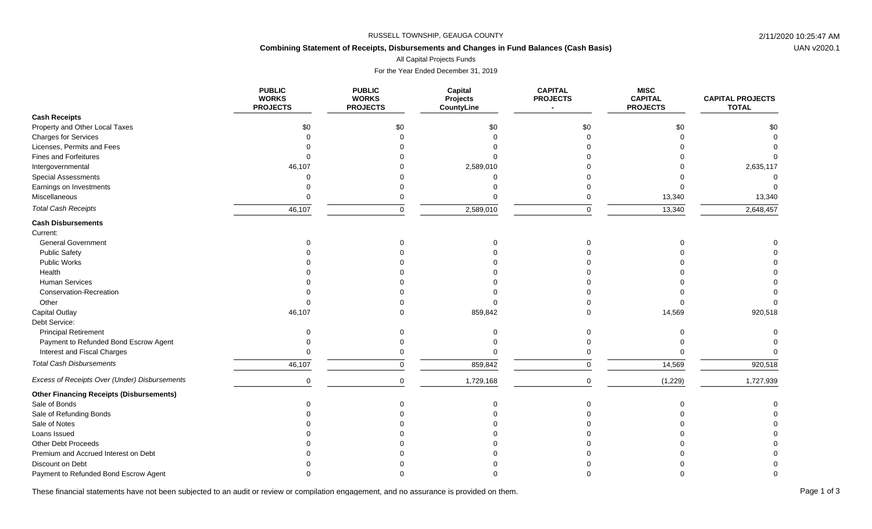# **Combining Statement of Receipts, Disbursements and Changes in Fund Balances (Cash Basis)**

All Capital Projects Funds

For the Year Ended December 31, 2019

|                                                 | <b>PUBLIC</b><br><b>WORKS</b><br><b>PROJECTS</b> | <b>PUBLIC</b><br><b>WORKS</b><br><b>PROJECTS</b> | Capital<br>Projects<br>CountyLine | <b>CAPITAL</b><br><b>PROJECTS</b> | <b>MISC</b><br><b>CAPITAL</b><br><b>PROJECTS</b> | <b>CAPITAL PROJECTS</b><br><b>TOTAL</b> |
|-------------------------------------------------|--------------------------------------------------|--------------------------------------------------|-----------------------------------|-----------------------------------|--------------------------------------------------|-----------------------------------------|
| <b>Cash Receipts</b>                            |                                                  |                                                  |                                   |                                   |                                                  |                                         |
| Property and Other Local Taxes                  | \$0                                              | \$0                                              | \$0                               | \$0                               | \$0                                              | \$0                                     |
| Charges for Services                            |                                                  | $\Omega$                                         |                                   |                                   |                                                  |                                         |
| Licenses, Permits and Fees                      |                                                  |                                                  |                                   |                                   |                                                  |                                         |
| <b>Fines and Forfeitures</b>                    |                                                  |                                                  |                                   |                                   |                                                  |                                         |
| Intergovernmental                               | 46,107                                           |                                                  | 2,589,010                         |                                   |                                                  | 2,635,117                               |
| <b>Special Assessments</b>                      |                                                  |                                                  |                                   |                                   |                                                  |                                         |
| Earnings on Investments                         |                                                  |                                                  |                                   |                                   |                                                  |                                         |
| Miscellaneous                                   |                                                  |                                                  |                                   |                                   | 13,340                                           | 13,340                                  |
| <b>Total Cash Receipts</b>                      | 46,107                                           | $\Omega$                                         | 2,589,010                         | U                                 | 13,340                                           | 2,648,457                               |
| <b>Cash Disbursements</b><br>Current:           |                                                  |                                                  |                                   |                                   |                                                  |                                         |
| <b>General Government</b>                       |                                                  |                                                  |                                   |                                   |                                                  |                                         |
| <b>Public Safety</b>                            |                                                  |                                                  |                                   |                                   |                                                  |                                         |
| <b>Public Works</b>                             |                                                  |                                                  |                                   |                                   |                                                  |                                         |
| Health                                          |                                                  |                                                  |                                   |                                   |                                                  |                                         |
| <b>Human Services</b>                           |                                                  |                                                  |                                   |                                   |                                                  |                                         |
| Conservation-Recreation                         |                                                  |                                                  |                                   |                                   |                                                  |                                         |
| Other                                           |                                                  |                                                  |                                   |                                   |                                                  |                                         |
| <b>Capital Outlay</b>                           | 46,107                                           |                                                  | 859,842                           |                                   | 14,569                                           | 920,518                                 |
| Debt Service:                                   |                                                  |                                                  |                                   |                                   |                                                  |                                         |
| <b>Principal Retirement</b>                     |                                                  |                                                  |                                   |                                   |                                                  |                                         |
| Payment to Refunded Bond Escrow Agent           |                                                  |                                                  |                                   |                                   |                                                  |                                         |
| Interest and Fiscal Charges                     |                                                  |                                                  |                                   |                                   |                                                  |                                         |
| <b>Total Cash Disbursements</b>                 | 46,107                                           | $\Omega$                                         | 859,842                           | 0                                 | 14,569                                           | 920,518                                 |
| Excess of Receipts Over (Under) Disbursements   | $\mathbf 0$                                      | $\Omega$                                         | 1,729,168                         | $\Omega$                          | (1,229)                                          | 1,727,939                               |
| <b>Other Financing Receipts (Disbursements)</b> |                                                  |                                                  |                                   |                                   |                                                  |                                         |
| Sale of Bonds                                   |                                                  | ი                                                |                                   |                                   |                                                  |                                         |
| Sale of Refunding Bonds                         |                                                  |                                                  |                                   |                                   |                                                  |                                         |
| Sale of Notes                                   |                                                  |                                                  |                                   |                                   |                                                  |                                         |
| Loans Issued                                    |                                                  |                                                  |                                   |                                   |                                                  |                                         |
| <b>Other Debt Proceeds</b>                      |                                                  |                                                  |                                   |                                   |                                                  |                                         |
| Premium and Accrued Interest on Debt            |                                                  |                                                  |                                   |                                   |                                                  |                                         |
| Discount on Debt                                |                                                  |                                                  |                                   |                                   |                                                  |                                         |
| Payment to Refunded Bond Escrow Agent           |                                                  |                                                  |                                   |                                   |                                                  |                                         |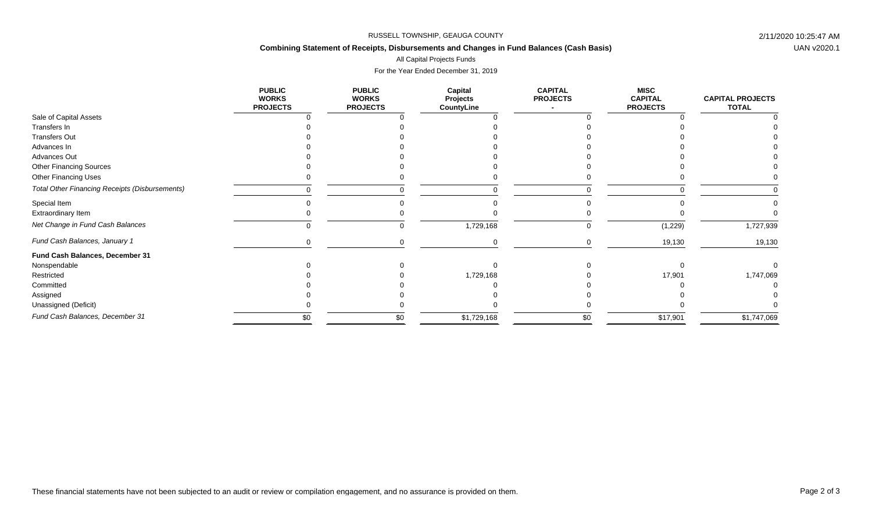# **Combining Statement of Receipts, Disbursements and Changes in Fund Balances (Cash Basis)**

All Capital Projects Funds

|                                                       | <b>PUBLIC</b><br><b>WORKS</b><br><b>PROJECTS</b> | <b>PUBLIC</b><br><b>WORKS</b><br><b>PROJECTS</b> | Capital<br><b>Projects</b><br>CountyLine | <b>CAPITAL</b><br><b>PROJECTS</b> | MISC<br><b>CAPITAL</b><br><b>PROJECTS</b> | <b>CAPITAL PROJECTS</b><br><b>TOTAL</b> |
|-------------------------------------------------------|--------------------------------------------------|--------------------------------------------------|------------------------------------------|-----------------------------------|-------------------------------------------|-----------------------------------------|
| Sale of Capital Assets                                |                                                  |                                                  |                                          |                                   |                                           |                                         |
| Transfers In                                          |                                                  |                                                  |                                          |                                   |                                           |                                         |
| <b>Transfers Out</b>                                  |                                                  |                                                  |                                          |                                   |                                           |                                         |
| Advances In                                           |                                                  |                                                  |                                          |                                   |                                           |                                         |
| Advances Out                                          |                                                  |                                                  |                                          |                                   |                                           |                                         |
| <b>Other Financing Sources</b>                        |                                                  |                                                  |                                          |                                   |                                           |                                         |
| Other Financing Uses                                  |                                                  |                                                  |                                          |                                   |                                           |                                         |
| <b>Total Other Financing Receipts (Disbursements)</b> |                                                  |                                                  | $\Omega$                                 |                                   |                                           |                                         |
| Special Item                                          |                                                  |                                                  |                                          |                                   |                                           |                                         |
| Extraordinary Item                                    |                                                  |                                                  |                                          |                                   |                                           |                                         |
| Net Change in Fund Cash Balances                      |                                                  |                                                  | 1,729,168                                |                                   | (1,229)                                   | 1,727,939                               |
| Fund Cash Balances, January 1                         |                                                  |                                                  |                                          |                                   | 19,130                                    | 19,130                                  |
| Fund Cash Balances, December 31                       |                                                  |                                                  |                                          |                                   |                                           |                                         |
| Nonspendable                                          |                                                  |                                                  |                                          |                                   |                                           |                                         |
| Restricted                                            |                                                  |                                                  | 1,729,168                                |                                   | 17,901                                    | 1,747,069                               |
| Committed                                             |                                                  |                                                  |                                          |                                   |                                           |                                         |
| Assigned                                              |                                                  |                                                  |                                          |                                   |                                           |                                         |
| Unassigned (Deficit)                                  |                                                  |                                                  |                                          |                                   |                                           |                                         |
| Fund Cash Balances, December 31                       | \$0                                              | \$0                                              | \$1,729,168                              | \$0                               | \$17,901                                  | \$1,747,069                             |